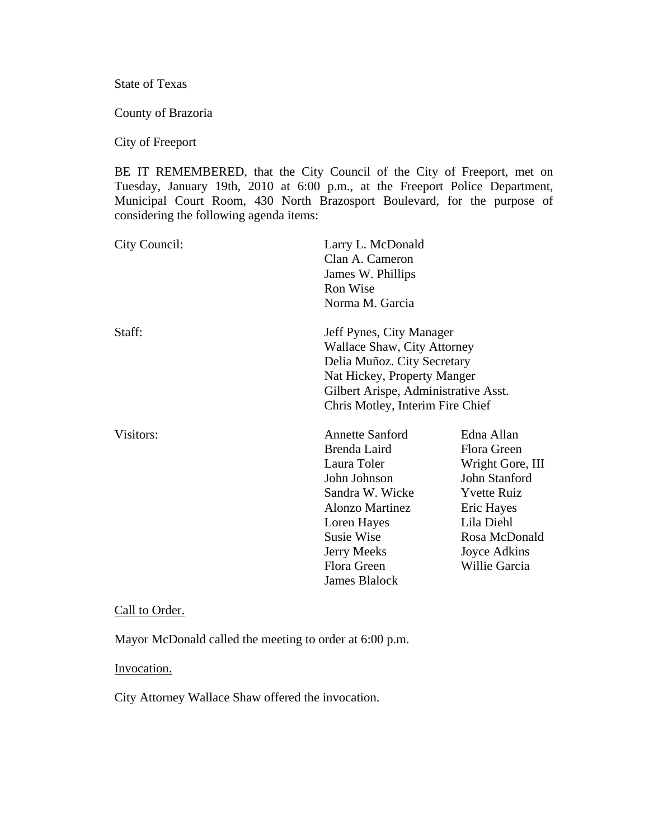State of Texas

County of Brazoria

City of Freeport

BE IT REMEMBERED, that the City Council of the City of Freeport, met on Tuesday, January 19th, 2010 at 6:00 p.m., at the Freeport Police Department, Municipal Court Room, 430 North Brazosport Boulevard, for the purpose of considering the following agenda items:

| City Council: | Larry L. McDonald<br>Clan A. Cameron<br>James W. Phillips<br>Ron Wise<br>Norma M. Garcia                                                                                                                            |                                                                                                                                                                    |
|---------------|---------------------------------------------------------------------------------------------------------------------------------------------------------------------------------------------------------------------|--------------------------------------------------------------------------------------------------------------------------------------------------------------------|
| Staff:        | Jeff Pynes, City Manager<br><b>Wallace Shaw, City Attorney</b><br>Delia Muñoz. City Secretary<br>Nat Hickey, Property Manger<br>Gilbert Arispe, Administrative Asst.<br>Chris Motley, Interim Fire Chief            |                                                                                                                                                                    |
| Visitors:     | <b>Annette Sanford</b><br>Brenda Laird<br>Laura Toler<br>John Johnson<br>Sandra W. Wicke<br><b>Alonzo Martinez</b><br>Loren Hayes<br><b>Susie Wise</b><br><b>Jerry Meeks</b><br>Flora Green<br><b>James Blalock</b> | Edna Allan<br>Flora Green<br>Wright Gore, III<br>John Stanford<br><b>Yvette Ruiz</b><br>Eric Hayes<br>Lila Diehl<br>Rosa McDonald<br>Joyce Adkins<br>Willie Garcia |

#### Call to Order.

Mayor McDonald called the meeting to order at 6:00 p.m.

#### Invocation.

City Attorney Wallace Shaw offered the invocation.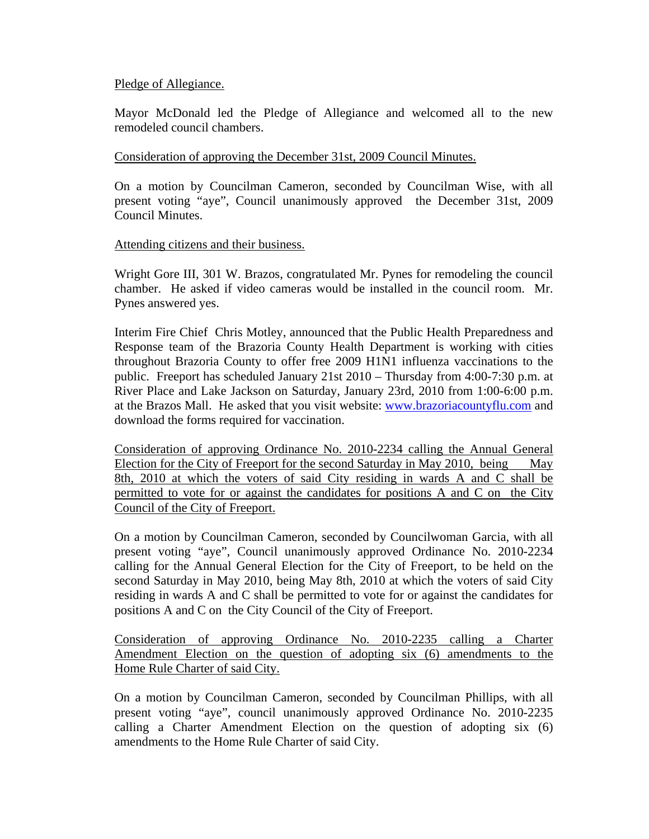## Pledge of Allegiance.

Mayor McDonald led the Pledge of Allegiance and welcomed all to the new remodeled council chambers.

### Consideration of approving the December 31st, 2009 Council Minutes.

On a motion by Councilman Cameron, seconded by Councilman Wise, with all present voting "aye", Council unanimously approved the December 31st, 2009 Council Minutes.

### Attending citizens and their business.

Wright Gore III, 301 W. Brazos, congratulated Mr. Pynes for remodeling the council chamber. He asked if video cameras would be installed in the council room. Mr. Pynes answered yes.

Interim Fire Chief Chris Motley, announced that the Public Health Preparedness and Response team of the Brazoria County Health Department is working with cities throughout Brazoria County to offer free 2009 H1N1 influenza vaccinations to the public. Freeport has scheduled January 21st 2010 – Thursday from 4:00-7:30 p.m. at River Place and Lake Jackson on Saturday, January 23rd, 2010 from 1:00-6:00 p.m. at the Brazos Mall. He asked that you visit website: www.brazoriacountyflu.com and download the forms required for vaccination.

Consideration of approving Ordinance No. 2010-2234 calling the Annual General Election for the City of Freeport for the second Saturday in May 2010, being May 8th, 2010 at which the voters of said City residing in wards A and C shall be permitted to vote for or against the candidates for positions A and C on the City Council of the City of Freeport.

On a motion by Councilman Cameron, seconded by Councilwoman Garcia, with all present voting "aye", Council unanimously approved Ordinance No. 2010-2234 calling for the Annual General Election for the City of Freeport, to be held on the second Saturday in May 2010, being May 8th, 2010 at which the voters of said City residing in wards A and C shall be permitted to vote for or against the candidates for positions A and C on the City Council of the City of Freeport.

Consideration of approving Ordinance No. 2010-2235 calling a Charter Amendment Election on the question of adopting six (6) amendments to the Home Rule Charter of said City.

On a motion by Councilman Cameron, seconded by Councilman Phillips, with all present voting "aye", council unanimously approved Ordinance No. 2010-2235 calling a Charter Amendment Election on the question of adopting six (6) amendments to the Home Rule Charter of said City.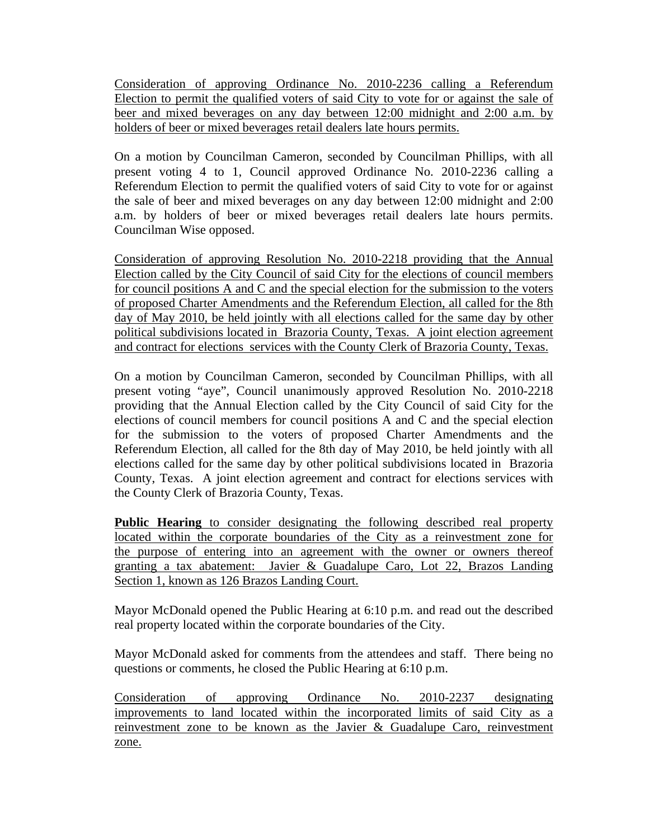Consideration of approving Ordinance No. 2010-2236 calling a Referendum Election to permit the qualified voters of said City to vote for or against the sale of beer and mixed beverages on any day between 12:00 midnight and 2:00 a.m. by holders of beer or mixed beverages retail dealers late hours permits.

On a motion by Councilman Cameron, seconded by Councilman Phillips, with all present voting 4 to 1, Council approved Ordinance No. 2010-2236 calling a Referendum Election to permit the qualified voters of said City to vote for or against the sale of beer and mixed beverages on any day between 12:00 midnight and 2:00 a.m. by holders of beer or mixed beverages retail dealers late hours permits. Councilman Wise opposed.

Consideration of approving Resolution No. 2010-2218 providing that the Annual Election called by the City Council of said City for the elections of council members for council positions A and C and the special election for the submission to the voters of proposed Charter Amendments and the Referendum Election, all called for the 8th day of May 2010, be held jointly with all elections called for the same day by other political subdivisions located in Brazoria County, Texas. A joint election agreement and contract for elections services with the County Clerk of Brazoria County, Texas.

On a motion by Councilman Cameron, seconded by Councilman Phillips, with all present voting "aye", Council unanimously approved Resolution No. 2010-2218 providing that the Annual Election called by the City Council of said City for the elections of council members for council positions A and C and the special election for the submission to the voters of proposed Charter Amendments and the Referendum Election, all called for the 8th day of May 2010, be held jointly with all elections called for the same day by other political subdivisions located in Brazoria County, Texas. A joint election agreement and contract for elections services with the County Clerk of Brazoria County, Texas.

**Public Hearing** to consider designating the following described real property located within the corporate boundaries of the City as a reinvestment zone for the purpose of entering into an agreement with the owner or owners thereof granting a tax abatement: Javier & Guadalupe Caro, Lot 22, Brazos Landing Section 1, known as 126 Brazos Landing Court.

Mayor McDonald opened the Public Hearing at 6:10 p.m. and read out the described real property located within the corporate boundaries of the City.

Mayor McDonald asked for comments from the attendees and staff. There being no questions or comments, he closed the Public Hearing at 6:10 p.m.

Consideration of approving Ordinance No. 2010-2237 designating improvements to land located within the incorporated limits of said City as a reinvestment zone to be known as the Javier & Guadalupe Caro, reinvestment zone.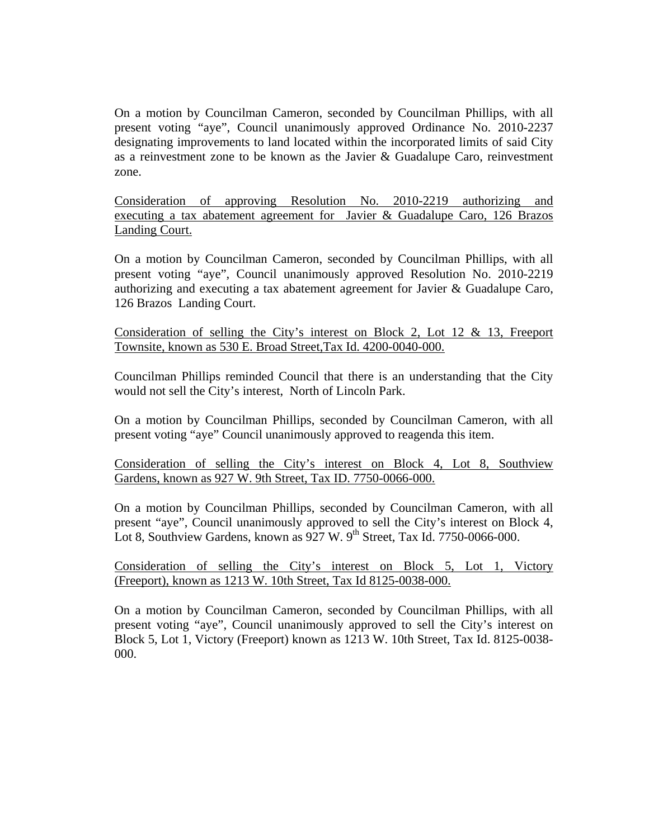On a motion by Councilman Cameron, seconded by Councilman Phillips, with all present voting "aye", Council unanimously approved Ordinance No. 2010-2237 designating improvements to land located within the incorporated limits of said City as a reinvestment zone to be known as the Javier & Guadalupe Caro, reinvestment zone.

Consideration of approving Resolution No. 2010-2219 authorizing and executing a tax abatement agreement for Javier & Guadalupe Caro, 126 Brazos Landing Court.

On a motion by Councilman Cameron, seconded by Councilman Phillips, with all present voting "aye", Council unanimously approved Resolution No. 2010-2219 authorizing and executing a tax abatement agreement for Javier & Guadalupe Caro, 126 Brazos Landing Court.

Consideration of selling the City's interest on Block 2, Lot 12 & 13, Freeport Townsite, known as 530 E. Broad Street,Tax Id. 4200-0040-000.

Councilman Phillips reminded Council that there is an understanding that the City would not sell the City's interest, North of Lincoln Park.

On a motion by Councilman Phillips, seconded by Councilman Cameron, with all present voting "aye" Council unanimously approved to reagenda this item.

Consideration of selling the City's interest on Block 4, Lot 8, Southview Gardens, known as 927 W. 9th Street, Tax ID. 7750-0066-000.

On a motion by Councilman Phillips, seconded by Councilman Cameron, with all present "aye", Council unanimously approved to sell the City's interest on Block 4, Lot 8, Southview Gardens, known as  $927$  W.  $9<sup>th</sup>$  Street, Tax Id. 7750-0066-000.

Consideration of selling the City's interest on Block 5, Lot 1, Victory (Freeport), known as 1213 W. 10th Street, Tax Id 8125-0038-000.

On a motion by Councilman Cameron, seconded by Councilman Phillips, with all present voting "aye", Council unanimously approved to sell the City's interest on Block 5, Lot 1, Victory (Freeport) known as 1213 W. 10th Street, Tax Id. 8125-0038- 000.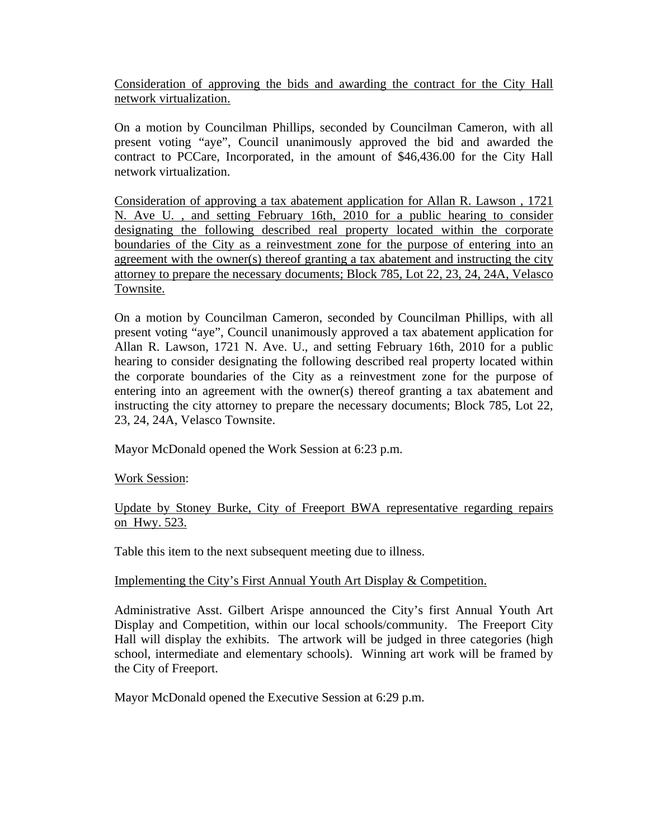Consideration of approving the bids and awarding the contract for the City Hall network virtualization.

On a motion by Councilman Phillips, seconded by Councilman Cameron, with all present voting "aye", Council unanimously approved the bid and awarded the contract to PCCare, Incorporated, in the amount of \$46,436.00 for the City Hall network virtualization.

Consideration of approving a tax abatement application for Allan R. Lawson , 1721 N. Ave U. , and setting February 16th, 2010 for a public hearing to consider designating the following described real property located within the corporate boundaries of the City as a reinvestment zone for the purpose of entering into an agreement with the owner(s) thereof granting a tax abatement and instructing the city attorney to prepare the necessary documents; Block 785, Lot 22, 23, 24, 24A, Velasco Townsite.

On a motion by Councilman Cameron, seconded by Councilman Phillips, with all present voting "aye", Council unanimously approved a tax abatement application for Allan R. Lawson, 1721 N. Ave. U., and setting February 16th, 2010 for a public hearing to consider designating the following described real property located within the corporate boundaries of the City as a reinvestment zone for the purpose of entering into an agreement with the owner(s) thereof granting a tax abatement and instructing the city attorney to prepare the necessary documents; Block 785, Lot 22, 23, 24, 24A, Velasco Townsite.

Mayor McDonald opened the Work Session at 6:23 p.m.

Work Session:

Update by Stoney Burke, City of Freeport BWA representative regarding repairs on Hwy. 523.

Table this item to the next subsequent meeting due to illness.

## Implementing the City's First Annual Youth Art Display & Competition.

Administrative Asst. Gilbert Arispe announced the City's first Annual Youth Art Display and Competition, within our local schools/community. The Freeport City Hall will display the exhibits. The artwork will be judged in three categories (high school, intermediate and elementary schools). Winning art work will be framed by the City of Freeport.

Mayor McDonald opened the Executive Session at 6:29 p.m.